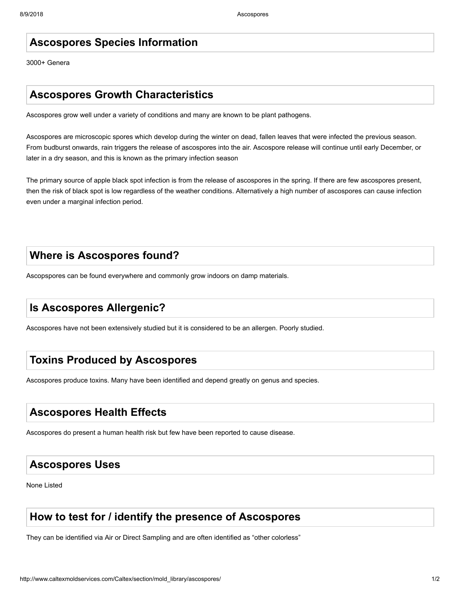#### **Ascospores Species Information**

3000+ Genera

#### **Ascospores Growth Characteristics**

Ascospores grow well under a variety of conditions and many are known to be plant pathogens.

Ascospores are microscopic spores which develop during the winter on dead, fallen leaves that were infected the previous season. From budburst onwards, rain triggers the release of ascospores into the air. Ascospore release will continue until early December, or later in a dry season, and this is known as the primary infection season

The primary source of apple black spot infection is from the release of ascospores in the spring. If there are few ascospores present, then the risk of black spot is low regardless of the weather conditions. Alternatively a high number of ascospores can cause infection even under a marginal infection period.

#### **Where is Ascospores found?**

Ascopspores can be found everywhere and commonly grow indoors on damp materials.

# **Is Ascospores Allergenic?**

Ascospores have not been extensively studied but it is considered to be an allergen. Poorly studied.

#### **Toxins Produced by Ascospores**

Ascospores produce toxins. Many have been identified and depend greatly on genus and species.

#### **Ascospores Health Effects**

Ascospores do present a human health risk but few have been reported to cause disease.

## **Ascospores Uses**

None Listed

## **How to test for / identify the presence of Ascospores**

They can be identified via Air or Direct Sampling and are often identified as "other colorless"